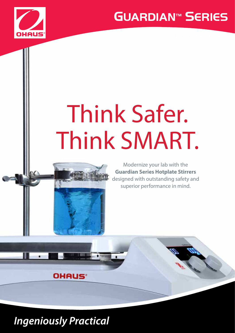



# Think Safer. Think SMART.





### ww.ohaus.com/guardian Annual Annual Annual Annual Annual Annual Annual Annual Annual Annual Annual Annual Annu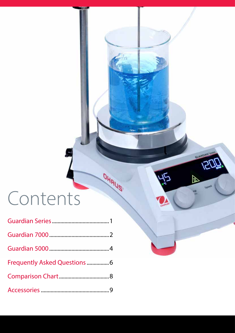# Contents

| Frequently Asked Questions  6 |  |
|-------------------------------|--|
|                               |  |
|                               |  |

OHAUS

**GUARDIANTSO** 

Ø

45

 $\overline{ZU}$ 

Speed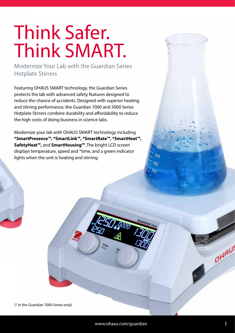# Think Safer. Think SMART.

Modernize Your Lab with the Guardian Series Hotplate Stirrers

Featuring OHAUS SMART technology, the Guardian Series protects the lab with advanced safety features designed to reduce the chance of accidents. Designed with superior heating and stirring performance, the Guardian 7000 and 5000 Series Hotplate Stirrers combine durability and affordability to reduce the high costs of doing business in science labs.

Modernize your lab with OHAUS SMART technology including **\*SmartPresence™, \*SmartLink™, \*SmartRate™, \*SmartHeat™, SafetyHeat™,** and **SmartHousing™**. The bright LCD screen displays temperature, speed and \*time, and a green indicator lights when the unit is heating and stirring.

(\* in the Guardian 7000 Series only)

OHAL!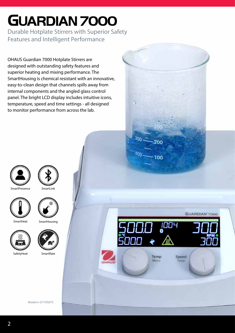# **GUARDIAN 7000**

Durable Hotplate Stirrers with Superior Safety Features and Intelligent Performance

OHAUS Guardian 7000 Hotplate Stirrers are designed with outstanding safety features and superior heating and mixing performance. The SmartHousing is chemical resistant with an innovative, easy-to-clean design that channels spills away from internal components and the angled glass control panel. The bright LCD display includes intuitive icons, temperature, speed and time settings - all designed to monitor performance from across the lab.







**SmartHeat** 



**SmartHousing** 





SafetyHeat SmartRate





30ი

400

200

100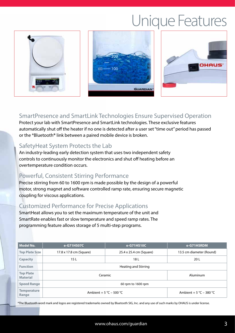## Unique Features







#### SmartPresence and SmartLink Technologies Ensure Supervised Operation

Protect your lab with SmartPresence and SmartLink technologies. These exclusive features automatically shut off the heater if no one is detected after a user set "time out" period has passed or the \*Bluetooth**®** link between a paired mobile device is broken.

#### SafetyHeat System Protects the Lab

An industry-leading early detection system that uses two independent safety controls to continuously monitor the electronics and shut off heating before an overtemperature condition occurs.

#### Powerful, Consistent Stirring Performance

Precise stirring from 60 to 1600 rpm is made possible by the design of a powerful motor, strong magnet and software controlled ramp rate, ensuring secure magnetic coupling for viscous applications.

#### Customized Performance for Precise Applications

SmartHeat allows you to set the maximum temperature of the unit and SmartRate enables fast or slow temperature and speed ramp rates. The programming feature allows storage of 5 multi-step programs.

| Model No.                           | e-G71HS07C              | e-G71HS10C              | e-G71HSRDM               |  |
|-------------------------------------|-------------------------|-------------------------|--------------------------|--|
| <b>Top Plate Size</b>               | 17.8 x 17.8 cm (Square) | 25.4 x 25.4 cm (Square) | 13.5 cm diameter (Round) |  |
| <b>Capacity</b>                     | 15 L                    | 18 L                    | 20 L                     |  |
| <b>Function</b>                     | Heating and Stirring    |                         |                          |  |
| <b>Top Plate</b><br><b>Material</b> | Ceramic                 |                         | <b>Aluminum</b>          |  |
| <b>Speed Range</b>                  |                         | 60 rpm to 1600 rpm      |                          |  |
| <b>Temperature</b><br>Range         | Ambient + 5 °C – 500 °C |                         | Ambient + 5 °C – 380 °C  |  |

\*The Bluetooth word mark and logos are registered trademarks owned by Bluetooth SIG, Inc. and any use of such marks by OHAUS is under license.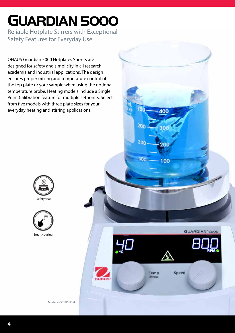## **GUARDIAN 5000**

Reliable Hotplate Stirrers with Exceptional Safety Features for Everyday Use

OHAUS Guardian 5000 Hotplates Stirrers are designed for safety and simplicity in all research, academia and industrial applications. The design ensures proper mixing and temperature control of the top plate or your sample when using the optional temperature probe. Heating models include a Single Point Calibration feature for multiple setpoints. Select from five models with three plate sizes for your everyday heating and stirring applications.





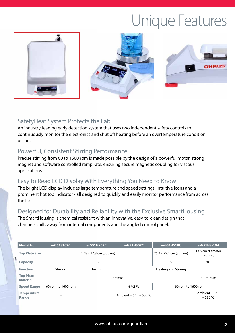## Unique Features







#### SafetyHeat System Protects the Lab

An industry-leading early detection system that uses two independent safety controls to continuously monitor the electronics and shut off heating before an overtemperature condition occurs.

#### Powerful, Consistent Stirring Performance

Precise stirring from 60 to 1600 rpm is made possible by the design of a powerful motor, strong magnet and software controlled ramp rate, ensuring secure magnetic coupling for viscous applications.

#### Easy to Read LCD Display With Everything You Need to Know

The bright LCD display includes large temperature and speed settings, intuitive icons and a prominent hot top indicator - all designed to quickly and easily monitor performance from across the lab.

#### Designed for Durability and Reliability with the Exclusive SmartHousing

The SmartHousing is chemical resistant with an innovative, easy-to-clean design that channels spills away from internal components and the angled control panel.

| Model No.                           | e-G51ST07C              | e-G51HP07C                            | e-G51HS07C           | e-G51HS10C                    | e-G51HSRDM                  |
|-------------------------------------|-------------------------|---------------------------------------|----------------------|-------------------------------|-----------------------------|
| <b>Top Plate Size</b>               | 17.8 x 17.8 cm (Square) |                                       |                      | 25.4 x 25.4 cm (Square)       | 13.5 cm diameter<br>(Round) |
| <b>Capacity</b>                     | 15 L                    |                                       |                      | 18 L                          | 20 L                        |
| <b>Function</b>                     | Stirring                | Heating                               | Heating and Stirring |                               |                             |
| <b>Top Plate</b><br><b>Material</b> | Ceramic                 |                                       |                      |                               | Aluminum                    |
| <b>Speed Range</b>                  | 60 rpm to 1600 rpm      | $\hspace{0.05cm}$ – $\hspace{0.05cm}$ | $+/-2\%$             | 60 rpm to 1600 rpm            |                             |
| <b>Temperature</b><br>Range         | $- -$                   | Ambient + 5 °C – 500 °C               |                      | Ambient + 5 $°C$<br>$-380 °C$ |                             |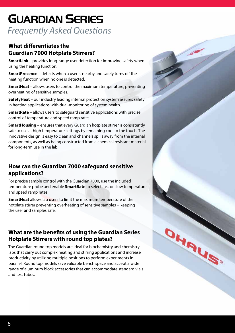### **GUARDIAN SERIES** *Frequently Asked Questions*

#### **What differentiates the Guardian 7000 Hotplate Stirrers?**

**SmartLink** – provides long-range user detection for improving safety when using the heating function.

**SmartPresence** – detects when a user is nearby and safely turns off the heating function when no one is detected.

**SmartHeat** – allows users to control the maximum temperature, preventing overheating of sensitive samples.

**SafetyHeat** – our industry leading internal protection system assures safety in heating applications with dual-monitoring of system health.

**SmartRate** – allows users to safeguard sensitive applications with precise control of temperature and speed ramp rates.

**SmartHousing** – ensures that every Guardian hotplate stirrer is consistently safe to use at high temperature settings by remaining cool to the touch. The innovative design is easy to clean and channels spills away from the internal components, as well as being constructed from a chemical resistant material for long-term use in the lab.

#### **How can the Guardian 7000 safeguard sensitive applications?**

For precise sample control with the Guardian 7000, use the included temperature probe and enable **SmartRate** to select fast or slow temperature and speed ramp rates.

**SmartHeat** allows lab users to limit the maximum temperature of the hotplate stirrer preventing overheating of sensitive samples -- keeping the user and samples safe.

#### **What are the benefits of using the Guardian Series Hotplate Stirrers with round top plates?**

The Guardian round top models are ideal for biochemistry and chemistry labs that carry out complex heating and stirring applications and increase productivity by utilizing multiple positions to perform experiments in parallel. Round top models save valuable bench space and accept a wide range of aluminum block accessories that can accommodate standard vials and test tubes.

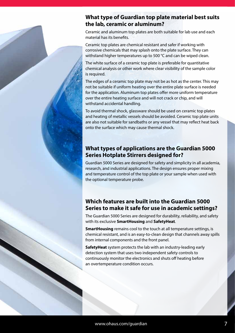#### **What type of Guardian top plate material best suits the lab, ceramic or aluminum?**

Ceramic and aluminum top plates are both suitable for lab use and each material has its benefits.

Ceramic top plates are chemical resistant and safer if working with corrosive chemicals that may splash onto the plate surface. They can withstand higher temperatures up to 500 °C and can be wiped clean.

The white surface of a ceramic top plate is preferable for quantitative chemical analysis or other work where clear visibility of the sample color is required.

The edges of a ceramic top plate may not be as hot as the center. This may not be suitable if uniform heating over the entire plate surface is needed for the application. Aluminum top plates offer more uniform temperature over the entire heating surface and will not crack or chip, and will withstand accidental handling.

To avoid thermal shock, glassware should be used on ceramic top plates and heating of metallic vessels should be avoided. Ceramic top plate units are also not suitable for sandbaths or any vessel that may reflect heat back onto the surface which may cause thermal shock.

#### **What types of applications are the Guardian 5000 Series Hotplate Stirrers designed for?**

Guardian 5000 Series are designed for safety and simplicity in all academia, research, and industrial applications. The design ensures proper mixing and temperature control of the top plate or your sample when used with the optional temperature probe.

#### **Which features are built into the Guardian 5000 Series to make it safe for use in academic settings?**

The Guardian 5000 Series are designed for durability, reliability, and safety with its exclusive **SmartHousing** and **SafetyHeat**.

**SmartHousing** remains cool to the touch at all temperature settings, is chemical resistant, and is an easy-to-clean design that channels away spills from internal components and the front panel.

**SafetyHeat** system protects the lab with an industry-leading early detection system that uses two independent safety controls to continuously monitor the electronics and shuts off heating before an overtemperature condition occurs.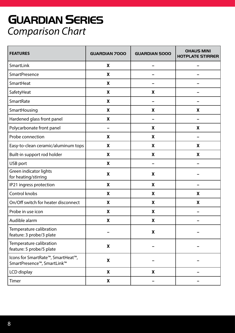### *Comparison Chart* **GUARDIAN SERIES**

| <b>FEATURES</b>                                                                           | <b>GUARDIAN 7000</b> | <b>GUARDIAN 5000</b> | <b>OHAUS MINI</b><br><b>HOTPLATE STIRRER</b> |
|-------------------------------------------------------------------------------------------|----------------------|----------------------|----------------------------------------------|
| SmartLink                                                                                 | X                    | -                    |                                              |
| <b>SmartPresence</b>                                                                      | X                    |                      |                                              |
| SmartHeat                                                                                 | X                    |                      |                                              |
| SafetyHeat                                                                                | X                    | X                    |                                              |
| SmartRate                                                                                 | X                    |                      |                                              |
| SmartHousing                                                                              | X                    | X                    | X                                            |
| Hardened glass front panel                                                                | X                    |                      |                                              |
| Polycarbonate front panel                                                                 | -                    | X                    | X                                            |
| Probe connection                                                                          | X                    | X                    |                                              |
| Easy-to-clean ceramic/aluminum tops                                                       | X                    | X                    | X                                            |
| Built-in support rod holder                                                               | X                    | X                    | X                                            |
| USB port                                                                                  | X                    |                      |                                              |
| Green indicator lights<br>for heating/stirring                                            | X                    | X                    |                                              |
| IP21 ingress protection                                                                   | X                    | X                    |                                              |
| Control knobs                                                                             | X                    | X                    | X                                            |
| On/Off switch for heater disconnect                                                       | X                    | X                    | X                                            |
| Probe in use icon                                                                         | X                    | X                    |                                              |
| Audible alarm                                                                             | X                    | X                    |                                              |
| Temperature calibration<br>feature: 3 probe/3 plate                                       |                      | X                    |                                              |
| Temperature calibration<br>feature: 5 probe/5 plate                                       | X                    |                      |                                              |
| Icons for SmartRate <sup>™</sup> , SmartHeat™,<br>SmartPresence <sup>™</sup> , SmartLink™ | X                    |                      |                                              |
| LCD display                                                                               | X                    | X                    |                                              |
| Timer                                                                                     | X                    |                      |                                              |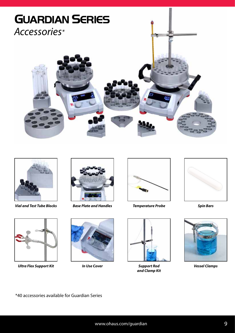



*Vial and Test Tube Blocks Base Plate and Handles*



*Ultra Flex Support Kit Support Rod Vessel Clamps*





*In Use Cover*



*Temperature Probe Spin Bars*



*and Clamp Kit*





\*40 accessories available for Guardian Series